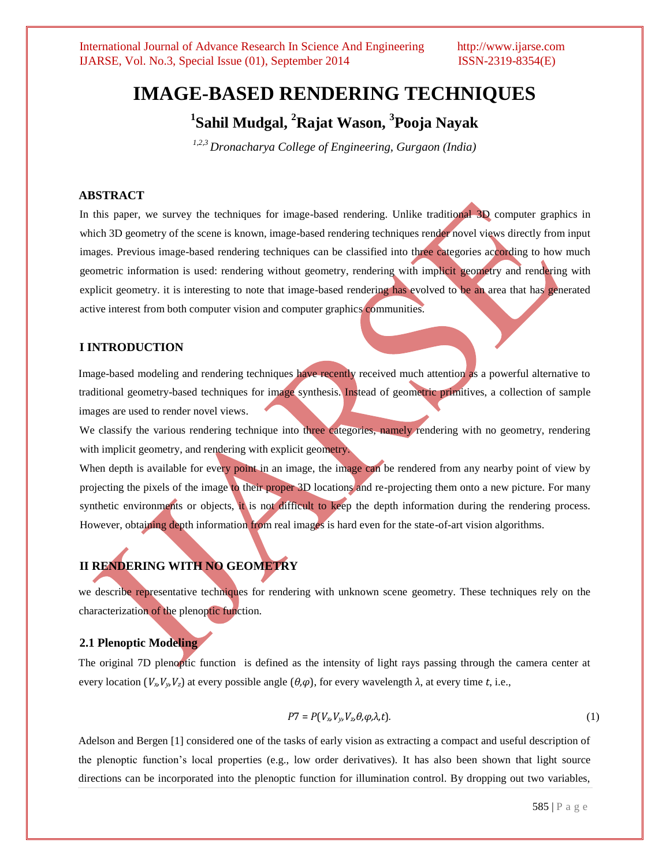# **IMAGE-BASED RENDERING TECHNIQUES**

**1 Sahil Mudgal, <sup>2</sup>Rajat Wason, <sup>3</sup> Pooja Nayak**

*1,2,3 Dronacharya College of Engineering, Gurgaon (India)*

## **ABSTRACT**

In this paper, we survey the techniques for image-based rendering. Unlike traditional 3D computer graphics in which 3D geometry of the scene is known, image-based rendering techniques render novel views directly from input images. Previous image-based rendering techniques can be classified into three categories according to how much geometric information is used: rendering without geometry, rendering with implicit geometry and rendering with explicit geometry, it is interesting to note that image-based rendering has evolved to be an area that has generated active interest from both computer vision and computer graphics communities.

#### **I INTRODUCTION**

Image-based modeling and rendering techniques have recently received much attention as a powerful alternative to traditional geometry-based techniques for image synthesis. Instead of geometric primitives, a collection of sample images are used to render novel views.

We classify the various rendering technique into three categories, namely rendering with no geometry, rendering with implicit geometry, and rendering with explicit geometry.

When depth is available for every point in an image, the image can be rendered from any nearby point of view by projecting the pixels of the image to their proper 3D locations and re-projecting them onto a new picture. For many synthetic environments or objects, it is not difficult to keep the depth information during the rendering process. However, obtaining depth information from real images is hard even for the state-of-art vision algorithms.

# **II RENDERING WITH NO GEOMETRY**

we describe representative techniques for rendering with unknown scene geometry. These techniques rely on the characterization of the plenoptic function.

# **2.1 Plenoptic Modeling**

The original 7D plenoptic function is defined as the intensity of light rays passing through the camera center at every location (*Vx,Vy,Vz*) at every possible angle (*θ,φ*), for every wavelength *λ*, at every time *t*, i.e.,

$$
P7 = P(V_x, V_y, V_z, \theta, \varphi, \lambda, t). \tag{1}
$$

Adelson and Bergen [1] considered one of the tasks of early vision as extracting a compact and useful description of the plenoptic function's local properties (e.g., low order derivatives). It has also been shown that light source directions can be incorporated into the plenoptic function for illumination control. By dropping out two variables,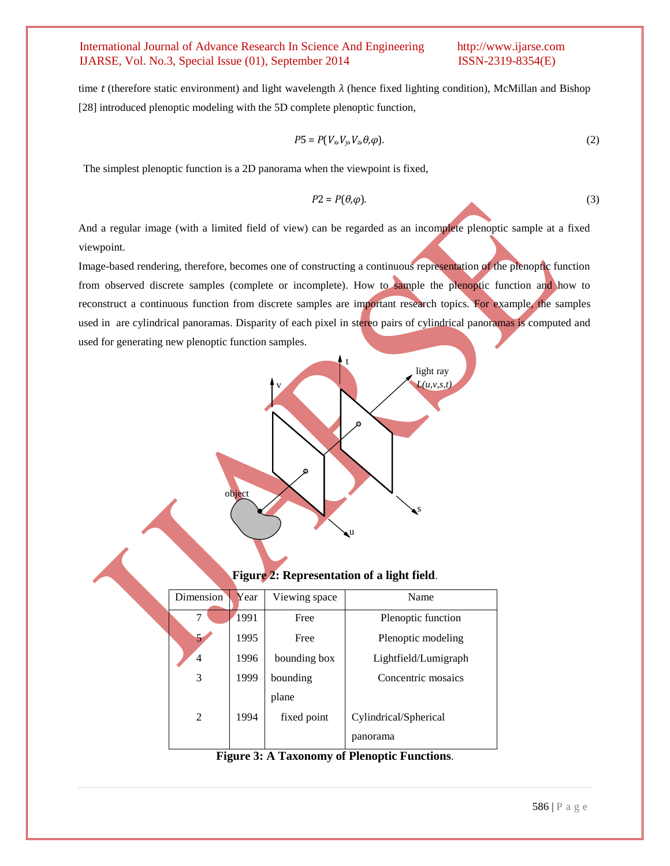time *t* (therefore static environment) and light wavelength *λ* (hence fixed lighting condition), McMillan and Bishop [28] introduced plenoptic modeling with the 5D complete plenoptic function,

$$
P5 = P(V_{x_1}V_{y_1}V_{z_2}\theta,\varphi).
$$
 (2)

The simplest plenoptic function is a 2D panorama when the viewpoint is fixed,

v

object

$$
P2 = P(\theta, \varphi). \tag{3}
$$

And a regular image (with a limited field of view) can be regarded as an incomplete plenoptic sample at a fixed viewpoint.

Image-based rendering, therefore, becomes one of constructing a continuous representation of the plenoptic function from observed discrete samples (complete or incomplete). How to sample the plenoptic function and how to reconstruct a continuous function from discrete samples are important research topics. For example, the samples used in are cylindrical panoramas. Disparity of each pixel in stereo pairs of cylindrical panoramas is computed and used for generating new plenoptic function samples.

t

**Figure 2: Representation of a light field**.

u

s

light ray *L(u,v,s,t)*

| <b>Dimension</b> | Year | Viewing space | Name                  |
|------------------|------|---------------|-----------------------|
| 7                | 1991 | Free          | Plenoptic function    |
| 5.               | 1995 | Free          | Plenoptic modeling    |
| 4                | 1996 | bounding box  | Lightfield/Lumigraph  |
| 3                | 1999 | bounding      | Concentric mosaics    |
|                  |      | plane         |                       |
| $\mathfrak{D}$   | 1994 | fixed point   | Cylindrical/Spherical |
|                  |      |               | panorama              |

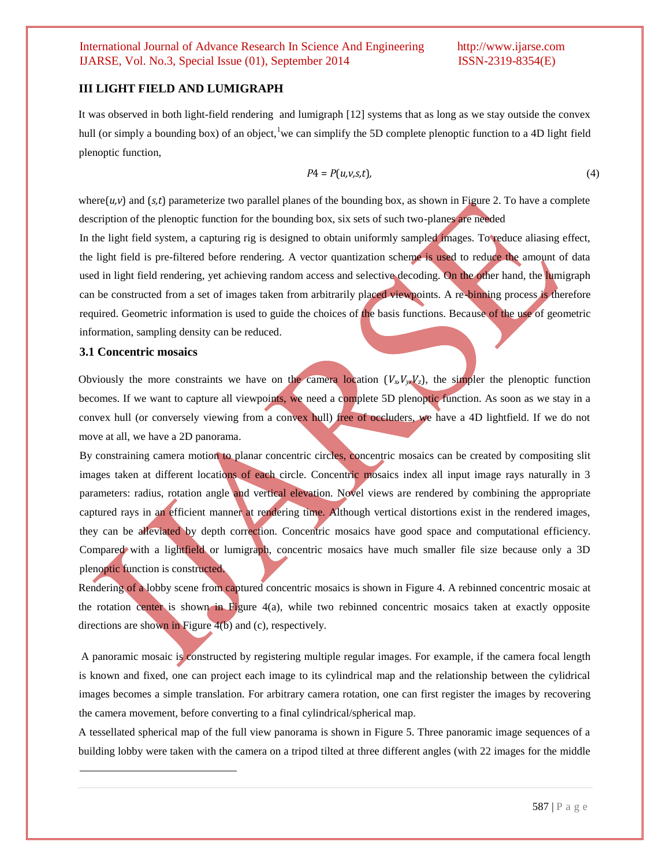### **III LIGHT FIELD AND LUMIGRAPH**

It was observed in both light-field rendering and lumigraph [12] systems that as long as we stay outside the convex hull (or simply a bounding box) of an object,<sup>1</sup>we can simplify the 5D complete plenoptic function to a 4D light field plenoptic function,

$$
P4 = P(u, v, s, t),\tag{4}
$$

where $(u,v)$  and  $(s,t)$  parameterize two parallel planes of the bounding box, as shown in Figure 2. To have a complete description of the plenoptic function for the bounding box, six sets of such two-planes are needed

In the light field system, a capturing rig is designed to obtain uniformly sampled images. To reduce aliasing effect, the light field is pre-filtered before rendering. A vector quantization scheme is used to reduce the amount of data used in light field rendering, yet achieving random access and selective decoding. On the other hand, the lumigraph can be constructed from a set of images taken from arbitrarily placed viewpoints. A re-binning process is therefore required. Geometric information is used to guide the choices of the basis functions. Because of the use of geometric information, sampling density can be reduced.

#### **3.1 Concentric mosaics**

l

Obviously the more constraints we have on the camera location  $(V_xV_yV_z)$ , the simpler the plenoptic function becomes. If we want to capture all viewpoints, we need a complete 5D plenoptic function. As soon as we stay in a convex hull (or conversely viewing from a convex hull) free of occluders, we have a 4D lightfield. If we do not move at all, we have a 2D panorama.

By constraining camera motion to planar concentric circles, concentric mosaics can be created by compositing slit images taken at different locations of each circle. Concentric mosaics index all input image rays naturally in 3 parameters: radius, rotation angle and vertical elevation. Novel views are rendered by combining the appropriate captured rays in an efficient manner at rendering time. Although vertical distortions exist in the rendered images, they can be alleviated by depth correction. Concentric mosaics have good space and computational efficiency. Compared with a lightfield or lumigraph, concentric mosaics have much smaller file size because only a 3D plenoptic function is constructed.

Rendering of a lobby scene from captured concentric mosaics is shown in Figure 4. A rebinned concentric mosaic at the rotation center is shown in Figure 4(a), while two rebinned concentric mosaics taken at exactly opposite directions are shown in Figure 4(b) and (c), respectively.

A panoramic mosaic is constructed by registering multiple regular images. For example, if the camera focal length is known and fixed, one can project each image to its cylindrical map and the relationship between the cylidrical images becomes a simple translation. For arbitrary camera rotation, one can first register the images by recovering the camera movement, before converting to a final cylindrical/spherical map.

A tessellated spherical map of the full view panorama is shown in Figure 5. Three panoramic image sequences of a building lobby were taken with the camera on a tripod tilted at three different angles (with 22 images for the middle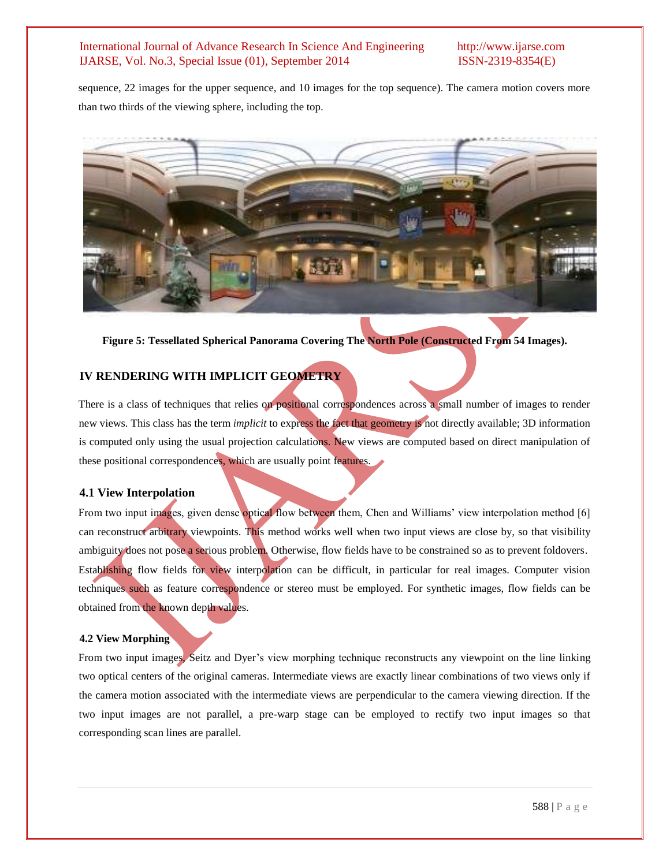sequence, 22 images for the upper sequence, and 10 images for the top sequence). The camera motion covers more than two thirds of the viewing sphere, including the top.



**Figure 5: Tessellated Spherical Panorama Covering The North Pole (Constructed From 54 Images).**

# **IV RENDERING WITH IMPLICIT GEOMETRY**

There is a class of techniques that relies on positional correspondences across a small number of images to render new views. This class has the term *implicit* to express the fact that geometry is not directly available; 3D information is computed only using the usual projection calculations. New views are computed based on direct manipulation of these positional correspondences, which are usually point features.

### **4.1 View Interpolation**

From two input images, given dense optical flow between them, Chen and Williams' view interpolation method [6] can reconstruct arbitrary viewpoints. This method works well when two input views are close by, so that visibility ambiguity does not pose a serious problem. Otherwise, flow fields have to be constrained so as to prevent foldovers. Establishing flow fields for view interpolation can be difficult, in particular for real images. Computer vision techniques such as feature correspondence or stereo must be employed. For synthetic images, flow fields can be obtained from the known depth values.

### **4.2 View Morphing**

From two input images, Seitz and Dyer's view morphing technique reconstructs any viewpoint on the line linking two optical centers of the original cameras. Intermediate views are exactly linear combinations of two views only if the camera motion associated with the intermediate views are perpendicular to the camera viewing direction. If the two input images are not parallel, a pre-warp stage can be employed to rectify two input images so that corresponding scan lines are parallel.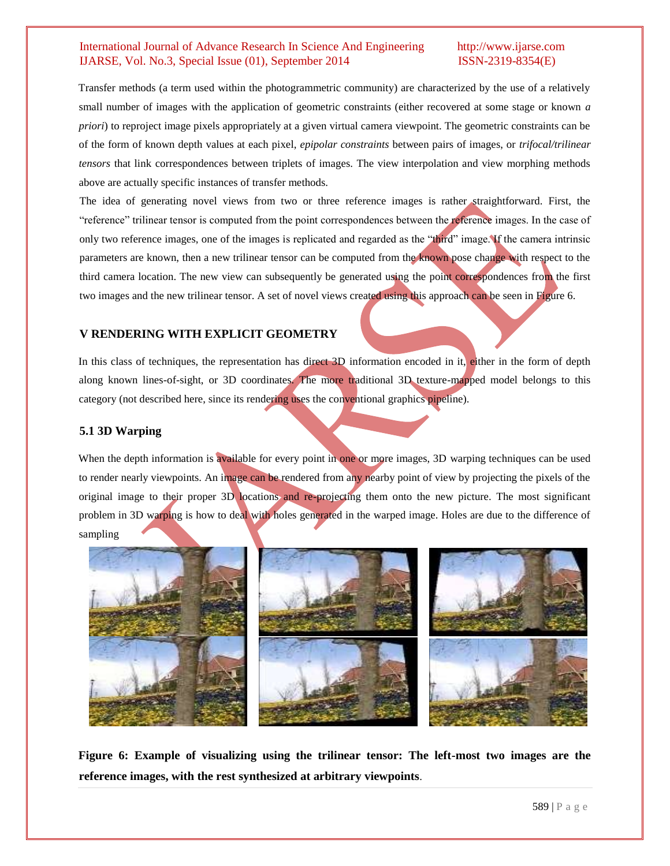Transfer methods (a term used within the photogrammetric community) are characterized by the use of a relatively small number of images with the application of geometric constraints (either recovered at some stage or known *a priori*) to reproject image pixels appropriately at a given virtual camera viewpoint. The geometric constraints can be of the form of known depth values at each pixel, *epipolar constraints* between pairs of images, or *trifocal/trilinear tensors* that link correspondences between triplets of images. The view interpolation and view morphing methods above are actually specific instances of transfer methods.

The idea of generating novel views from two or three reference images is rather straightforward. First, the "reference" trilinear tensor is computed from the point correspondences between the reference images. In the case of only two reference images, one of the images is replicated and regarded as the "third" image. If the camera intrinsic parameters are known, then a new trilinear tensor can be computed from the known pose change with respect to the third camera location. The new view can subsequently be generated using the point correspondences from the first two images and the new trilinear tensor. A set of novel views created using this approach can be seen in Figure 6.

# **V RENDERING WITH EXPLICIT GEOMETRY**

In this class of techniques, the representation has direct 3D information encoded in it, either in the form of depth along known lines-of-sight, or 3D coordinates. The more traditional 3D texture-mapped model belongs to this category (not described here, since its rendering uses the conventional graphics pipeline).

# **5.1 3D Warping**

When the depth information is available for every point in one or more images, 3D warping techniques can be used to render nearly viewpoints. An image can be rendered from any nearby point of view by projecting the pixels of the original image to their proper 3D locations and re-projecting them onto the new picture. The most significant problem in 3D warping is how to deal with holes generated in the warped image. Holes are due to the difference of sampling



**Figure 6: Example of visualizing using the trilinear tensor: The left-most two images are the reference images, with the rest synthesized at arbitrary viewpoints**.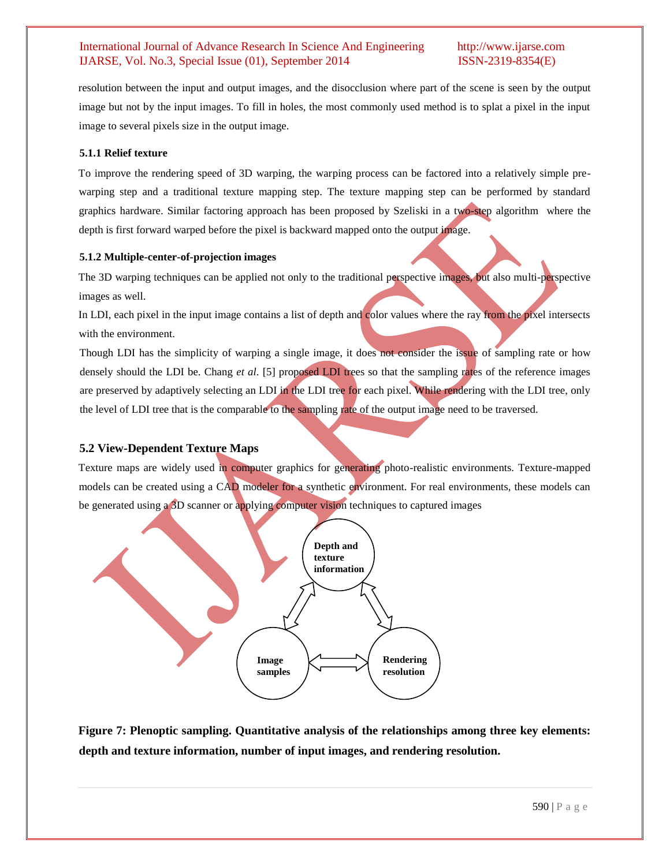resolution between the input and output images, and the disocclusion where part of the scene is seen by the output image but not by the input images. To fill in holes, the most commonly used method is to splat a pixel in the input image to several pixels size in the output image.

## **5.1.1 Relief texture**

To improve the rendering speed of 3D warping, the warping process can be factored into a relatively simple prewarping step and a traditional texture mapping step. The texture mapping step can be performed by standard graphics hardware. Similar factoring approach has been proposed by Szeliski in a two-step algorithm where the depth is first forward warped before the pixel is backward mapped onto the output image.

# **5.1.2 Multiple-center-of-projection images**

The 3D warping techniques can be applied not only to the traditional perspective images, but also multi-perspective images as well.

In LDI, each pixel in the input image contains a list of depth and color values where the ray from the pixel intersects with the environment.

Though LDI has the simplicity of warping a single image, it does not consider the issue of sampling rate or how densely should the LDI be. Chang *et al*. [5] proposed LDI trees so that the sampling rates of the reference images are preserved by adaptively selecting an LDI in the LDI tree for each pixel. While rendering with the LDI tree, only the level of LDI tree that is the comparable to the sampling rate of the output image need to be traversed.

# **5.2 View-Dependent Texture Maps**

Texture maps are widely used in computer graphics for generating photo-realistic environments. Texture-mapped models can be created using a CAD modeler for a synthetic environment. For real environments, these models can be generated using a 3D scanner or applying computer vision techniques to captured images



**Figure 7: Plenoptic sampling. Quantitative analysis of the relationships among three key elements: depth and texture information, number of input images, and rendering resolution.**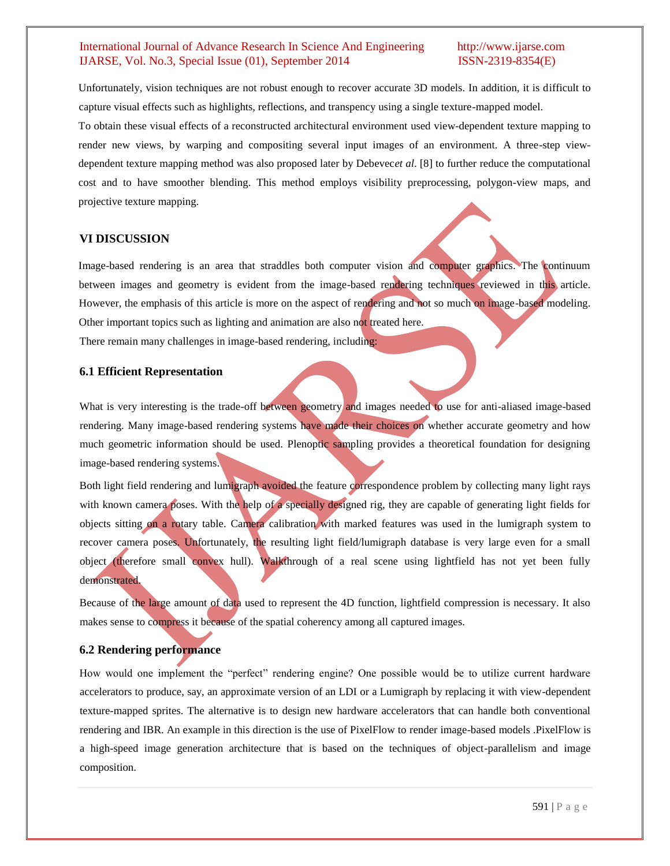Unfortunately, vision techniques are not robust enough to recover accurate 3D models. In addition, it is difficult to capture visual effects such as highlights, reflections, and transpency using a single texture-mapped model.

To obtain these visual effects of a reconstructed architectural environment used view-dependent texture mapping to render new views, by warping and compositing several input images of an environment. A three-step viewdependent texture mapping method was also proposed later by Debevec*et al*. [8] to further reduce the computational cost and to have smoother blending. This method employs visibility preprocessing, polygon-view maps, and projective texture mapping.

### **VI DISCUSSION**

Image-based rendering is an area that straddles both computer vision and computer graphics. The continuum between images and geometry is evident from the image-based rendering techniques reviewed in this article. However, the emphasis of this article is more on the aspect of rendering and not so much on image-based modeling. Other important topics such as lighting and animation are also not treated here. There remain many challenges in image-based rendering, including:

### **6.1 Efficient Representation**

What is very interesting is the trade-off between geometry and images needed to use for anti-aliased image-based rendering. Many image-based rendering systems have made their choices on whether accurate geometry and how much geometric information should be used. Plenoptic sampling provides a theoretical foundation for designing image-based rendering systems.

Both light field rendering and lumigraph avoided the feature correspondence problem by collecting many light rays with known camera poses. With the help of a specially designed rig, they are capable of generating light fields for objects sitting on a rotary table. Camera calibration with marked features was used in the lumigraph system to recover camera poses. Unfortunately, the resulting light field/lumigraph database is very large even for a small object (therefore small convex hull). Walkthrough of a real scene using lightfield has not yet been fully demonstrated.

Because of the large amount of data used to represent the 4D function, lightfield compression is necessary. It also makes sense to compress it because of the spatial coherency among all captured images.

# **6.2 Rendering performance**

How would one implement the "perfect" rendering engine? One possible would be to utilize current hardware accelerators to produce, say, an approximate version of an LDI or a Lumigraph by replacing it with view-dependent texture-mapped sprites. The alternative is to design new hardware accelerators that can handle both conventional rendering and IBR. An example in this direction is the use of PixelFlow to render image-based models .PixelFlow is a high-speed image generation architecture that is based on the techniques of object-parallelism and image composition.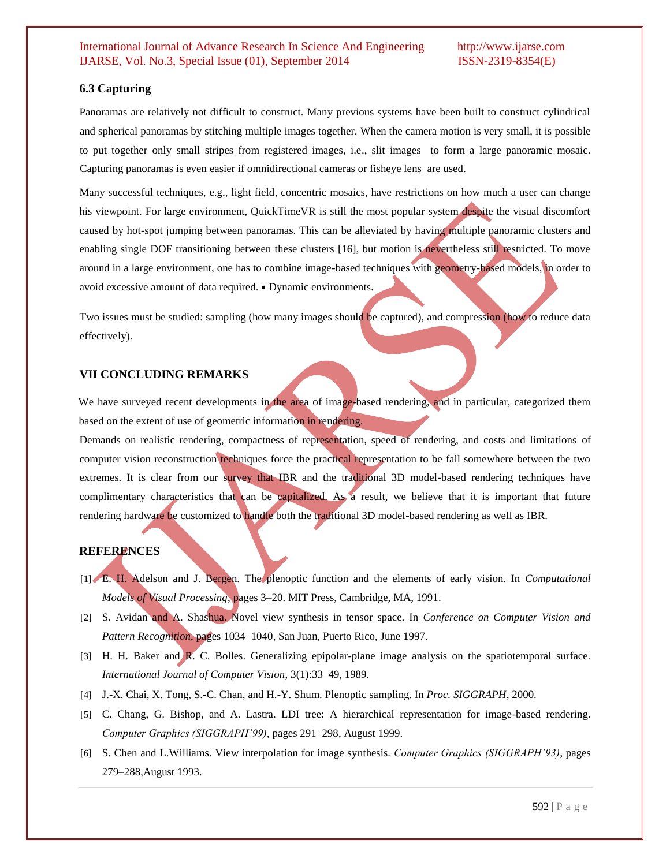# **6.3 Capturing**

Panoramas are relatively not difficult to construct. Many previous systems have been built to construct cylindrical and spherical panoramas by stitching multiple images together. When the camera motion is very small, it is possible to put together only small stripes from registered images, i.e., slit images to form a large panoramic mosaic. Capturing panoramas is even easier if omnidirectional cameras or fisheye lens are used.

Many successful techniques, e.g., light field, concentric mosaics, have restrictions on how much a user can change his viewpoint. For large environment, QuickTimeVR is still the most popular system despite the visual discomfort caused by hot-spot jumping between panoramas. This can be alleviated by having multiple panoramic clusters and enabling single DOF transitioning between these clusters [16], but motion is nevertheless still restricted. To move around in a large environment, one has to combine image-based techniques with geometry-based models, in order to avoid excessive amount of data required. • Dynamic environments.

Two issues must be studied: sampling (how many images should be captured), and compression (how to reduce data effectively).

# **VII CONCLUDING REMARKS**

We have surveyed recent developments in the area of image-based rendering, and in particular, categorized them based on the extent of use of geometric information in rendering.

Demands on realistic rendering, compactness of representation, speed of rendering, and costs and limitations of computer vision reconstruction techniques force the practical representation to be fall somewhere between the two extremes. It is clear from our survey that IBR and the traditional 3D model-based rendering techniques have complimentary characteristics that can be capitalized. As a result, we believe that it is important that future rendering hardware be customized to handle both the traditional 3D model-based rendering as well as IBR.

## **REFERENCES**

- [1] E. H. Adelson and J. Bergen. The plenoptic function and the elements of early vision. In *Computational Models of Visual Processing*, pages 3–20. MIT Press, Cambridge, MA, 1991.
- [2] S. Avidan and A. Shashua. Novel view synthesis in tensor space. In *Conference on Computer Vision and Pattern Recognition*, pages 1034–1040, San Juan, Puerto Rico, June 1997.
- [3] H. H. Baker and R. C. Bolles. Generalizing epipolar-plane image analysis on the spatiotemporal surface. *International Journal of Computer Vision*, 3(1):33–49, 1989.
- [4] J.-X. Chai, X. Tong, S.-C. Chan, and H.-Y. Shum. Plenoptic sampling. In *Proc. SIGGRAPH*, 2000.
- [5] C. Chang, G. Bishop, and A. Lastra. LDI tree: A hierarchical representation for image-based rendering. *Computer Graphics (SIGGRAPH'99)*, pages 291–298, August 1999.
- [6] S. Chen and L.Williams. View interpolation for image synthesis. *Computer Graphics (SIGGRAPH'93)*, pages 279–288,August 1993.